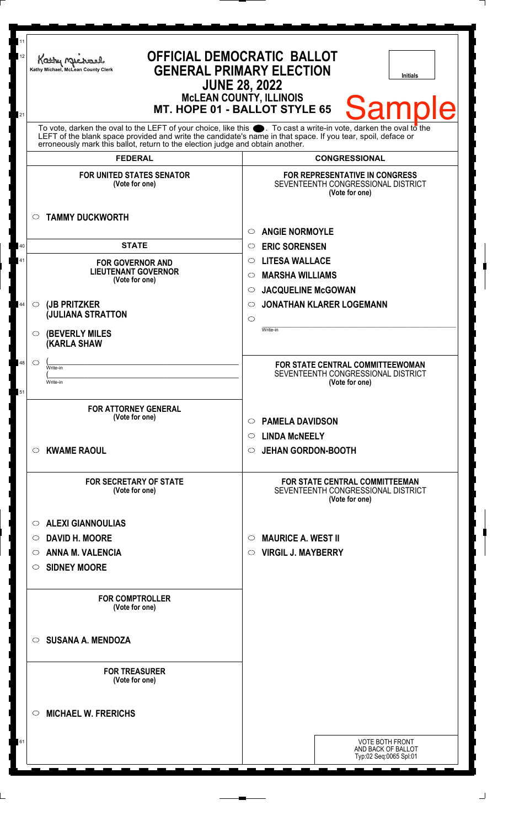| 11<br>12 | Kathy Michael<br>Kathy Michael, McLean County Clerk                                                                                                                                                                                                                                                                 | <b>OFFICIAL DEMOCRATIC BALLOT</b><br><b>GENERAL PRIMARY ELECTION</b><br><b>Initials</b><br><b>JUNE 28, 2022</b><br><b>McLEAN COUNTY, ILLINOIS</b> |
|----------|---------------------------------------------------------------------------------------------------------------------------------------------------------------------------------------------------------------------------------------------------------------------------------------------------------------------|---------------------------------------------------------------------------------------------------------------------------------------------------|
| 21       |                                                                                                                                                                                                                                                                                                                     | <b>Sample</b><br>MT. HOPE 01 - BALLOT STYLE 65                                                                                                    |
|          | To vote, darken the oval to the LEFT of your choice, like this ●. To cast a write-in vote, darken the oval to the<br>LEFT of the blank space provided and write the candidate's name in that space. If you tear, spoil, deface or<br>erroneously mark this ballot, return to the election judge and obtain another. |                                                                                                                                                   |
|          | <b>FEDERAL</b>                                                                                                                                                                                                                                                                                                      | <b>CONGRESSIONAL</b>                                                                                                                              |
|          | <b>FOR UNITED STATES SENATOR</b><br>(Vote for one)                                                                                                                                                                                                                                                                  | FOR REPRESENTATIVE IN CONGRESS<br>SEVENTEENTH CONGRESSIONAL DISTRICT<br>(Vote for one)                                                            |
|          | <b>TAMMY DUCKWORTH</b><br>$\circ$                                                                                                                                                                                                                                                                                   | <b>ANGIE NORMOYLE</b><br>◯                                                                                                                        |
| 40       | <b>STATE</b>                                                                                                                                                                                                                                                                                                        | <b>ERIC SORENSEN</b><br>$\circ$                                                                                                                   |
| 41       | <b>FOR GOVERNOR AND</b>                                                                                                                                                                                                                                                                                             | <b>LITESA WALLACE</b><br>$\circ$                                                                                                                  |
|          | <b>LIEUTENANT GOVERNOR</b>                                                                                                                                                                                                                                                                                          | <b>MARSHA WILLIAMS</b><br>$\circlearrowright$                                                                                                     |
|          | (Vote for one)                                                                                                                                                                                                                                                                                                      | <b>JACQUELINE McGOWAN</b><br>$\circlearrowright$                                                                                                  |
| 44       | (JB PRITZKER<br>$\circ$                                                                                                                                                                                                                                                                                             | <b>JONATHAN KLARER LOGEMANN</b><br>$\circlearrowright$                                                                                            |
|          | <b>JULIANA STRATTON</b>                                                                                                                                                                                                                                                                                             | $\circ$                                                                                                                                           |
|          | <b>(BEVERLY MILES)</b><br>$\circ$<br>(KARLA SHAW                                                                                                                                                                                                                                                                    | Write-in                                                                                                                                          |
| 48       | $\circ$                                                                                                                                                                                                                                                                                                             | FOR STATE CENTRAL COMMITTEEWOMAN                                                                                                                  |
|          | Write-in<br>Write-in                                                                                                                                                                                                                                                                                                | SEVENTEENTH CONGRESSIONAL DISTRICT                                                                                                                |
| 51       |                                                                                                                                                                                                                                                                                                                     | (Vote for one)                                                                                                                                    |
|          | <b>FOR ATTORNEY GENERAL</b><br>(Vote for one)                                                                                                                                                                                                                                                                       | <b>PAMELA DAVIDSON</b><br>$\circ$                                                                                                                 |
|          |                                                                                                                                                                                                                                                                                                                     | <b>LINDA MCNEELY</b><br>$\circ$                                                                                                                   |
|          | <b>KWAME RAOUL</b><br>$\circ$                                                                                                                                                                                                                                                                                       | <b>JEHAN GORDON-BOOTH</b><br>$\circ$                                                                                                              |
|          | <b>FOR SECRETARY OF STATE</b><br>(Vote for one)                                                                                                                                                                                                                                                                     | <b>FOR STATE CENTRAL COMMITTEEMAN</b><br>SEVENTEENTH CONGRESSIONAL DISTRICT<br>(Vote for one)                                                     |
|          | <b>ALEXI GIANNOULIAS</b><br>$\circ$                                                                                                                                                                                                                                                                                 |                                                                                                                                                   |
|          | <b>DAVID H. MOORE</b><br>$\circ$                                                                                                                                                                                                                                                                                    | <b>MAURICE A. WEST II</b><br>O                                                                                                                    |
|          | ANNA M. VALENCIA<br>O                                                                                                                                                                                                                                                                                               | <b>VIRGIL J. MAYBERRY</b><br>$\circ$                                                                                                              |
|          | <b>SIDNEY MOORE</b><br>O                                                                                                                                                                                                                                                                                            |                                                                                                                                                   |
|          |                                                                                                                                                                                                                                                                                                                     |                                                                                                                                                   |
|          | <b>FOR COMPTROLLER</b><br>(Vote for one)                                                                                                                                                                                                                                                                            |                                                                                                                                                   |
|          | <b>SUSANA A. MENDOZA</b><br>$\circ$                                                                                                                                                                                                                                                                                 |                                                                                                                                                   |
|          | <b>FOR TREASURER</b><br>(Vote for one)                                                                                                                                                                                                                                                                              |                                                                                                                                                   |
|          | <b>MICHAEL W. FRERICHS</b><br>$\circ$                                                                                                                                                                                                                                                                               |                                                                                                                                                   |
| 61       |                                                                                                                                                                                                                                                                                                                     | <b>VOTE BOTH FRONT</b><br>AND BACK OF BALLOT<br>Typ:02 Seq:0065 Spl:01                                                                            |